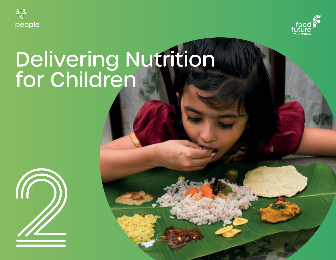



# Delivering Nutrition for Children

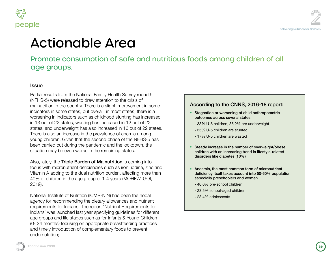



# bnable Area

consumption of safe and nutritious foods among children of all **Lips.** 

rom the National Family Health Survey round 5 released to draw attention to the crisis of the country. There is a slight improvement in some Ime states, but overall, in most states, there is a dicators such as childhood stunting has increased states, wasting has increased in 12 out of 22 derweight has also increased in 16 out of 22 states. n increase in the prevalence of anemia among Given that the second phase of the NFHS-5 has ut during the pandemic and the lockdown, the be even worse in the remaining states.

Triple Burden of Malnutrition is coming into fonutrient deficiencies such as iron, iodine, zinc and hg to the dual nutrition burden, affecting more than n in the age group of 1-4 years (MOHFW, GOI,

te of Nutrition (ICMR-NIN) has been the nodal pmmending the dietary allowances and nutrient or Indians. The report 'Nutrient Requirements for unched last year specifying guidelines for different d life stages such as for Infants & Young Children focusing on appropriate breastfeeding practices bduction of complementary foods to prevent

### According to the CNNS, 2016-18 report:

- $\bullet$ Stagnation or worsening of child anthropometric outcomes across several states
	- **-** 33% U-5 children, 35.2% are underweight
	- **-** 35% U-5 children are stunted
	- **-** 17% U-5 children are wasted
- Steady increase in the number of overweight/obese children with an increasing trend in lifestyle-related disorders like diabetes (10%)
- Anaemia, the most common form of micronutrient  $\bullet$ deficiency itself takes account into 50-60% population especially preschoolers and women
	- **-** 40.6% pre-school children
	- **-** 23.5% school-aged children
	- **-** 28.4% adolescents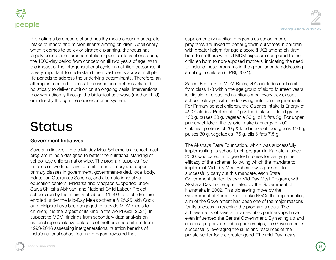



Promoting a balanced diet and healthy meals ensuring adequate intake of macro and micronutrients among children. Additionally, when it comes to policy or strategic planning, the focus has largely been placed around nutrition-specific interventions during the 1000-day period from conception till two years of age. With the impact of the intergenerational cycle on nutrition outcomes, it is very important to understand the investments across multiple life periods to address the underlying determinants. Therefore, an attempt is required to look at the issue comprehensively and holistically to deliver nutrition on an ongoing basis. Interventions may work directly through the biological pathways (mother-child) or indirectly through the socioeconomic system.

# **Status**

### Government Initiatives

Several initiatives like the Midday Meal Scheme is a school meal program in India designed to better the nutritional standing of school-age children nationwide. The program supplies free lunches on working days for children in primary and upper primary classes in government, government-aided, local body, Education Guarantee Scheme, and alternate innovative education centers, Madarsa and Maqtabs supported under Sarva Shiksha Abhiyan, and National Child Labour Project schools run by the ministry of labour. 11.59 Crore children are enrolled under the Mid-Day Meals scheme & 25.95 lakh Cook cum Helpers have been engaged to provide MDM meals to children; it is the largest of its kind in the world (GoI, 2021). In support to MDM, findings from secondary data analysis on national representative datasets of mothers and children from 1993-2016 assessing intergenerational nutrition benefits of India's national school feeding program revealed that

supplementary nutrition programs as school meals programs are linked to better growth outcomes in children, with greater height-for-age z-score (HAZ) among children born to mothers with full MDM exposure compared to the children born to non-exposed mothers, indicating the need to include these programs in the global agenda addressing stunting in children (IFPRI, 2021).

Salient Features of MDM Rules, 2015 includes each child from class 1-8 within the age group of six to fourteen years is eligible for a cooked nutritious meal every day except school holidays; with the following nutritional requirements, For Primary school children, the Calories Intake is Energy of 450 Calories, Protein of 12 g & food intake of food grains 100 g, pulses 20 g, vegetable 50 g, oil & fats 5g. For upper primary children, the calorie intake is Energy of 700 Calories, proteins of 20 g& food intake of food grains 150 g, pulses 30 g, vegetables -75 g, oils & fats 7.5 g.

The Akshaya Patra Foundation, which was successfully implementing its school lunch program in Karnataka since 2000, was called in to give testimonies for verifying the efficacy of the scheme, following which the mandate to implement Mid-Day Meal Scheme was passed. To successfully carry out this mandate, each State Government started its own Mid-Day Meal Program, with Akshara Dasoha being initiated by the Government of Karnataka in 2002. This pioneering move by the Government of Karnataka to make NGOs the implementing arm of the Government has been one of the major reasons for its success in reaching the program's goals. The achievements of several private-public partnerships have even influenced the Central Government. By setting up and encouraging private-public partnerships, the Government is successfully leveraging the skills and resources of the private sector for the greater good. The mid-Day meals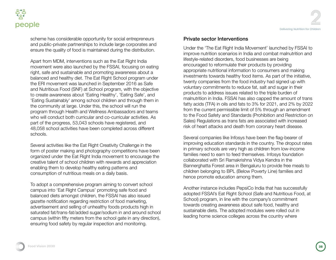

<u>ក្នុង</u> people

> scheme has considerable opportunity for social entrepreneurs and public-private partnerships to include large corporates and ensure the quality of food is maintained during the distribution.

Apart from MDM, interventions such as the Eat Right India movement were also launched by the FSSAI, focusing on eating right, safe and sustainable and promoting awareness about a balanced and healthy diet. The Eat Right School program under the ERI movement was launched in September 2016 as Safe and Nutritious Food (SNF) at School program, with the objective to create awareness about 'Eating Healthy', 'Eating Safe', and 'Eating Sustainably' among school children and through them in the community at large. Under this, the school will run the program through Health and Wellness Ambassadors and teams who will conduct both curricular and co-curricular activities. As part of the progress, 53,043 schools have registered, and 48,058 school activities have been completed across different schools.

Several activities like the Eat Right Creativity Challenge in the form of poster making and photography competitions have been organized under the Eat Right India movement to encourage the creative talent of school children with rewards and appreciation enabling them to develop healthy eating patterns and consumption of nutritious meals on a daily basis.

To adopt a comprehensive program aiming to convert school campus into 'Eat Right Campus' promoting safe food and balanced diets amongst children, the FSSAI has also issued gazette notification regarding restriction of food marketing, advertisement and selling of unhealthy foods products high in saturated fat/trans-fat/added sugar/sodium in and around school campus (within fifty meters from the school gate in any direction), ensuring food safety by regular inspection and monitoring.

### Private sector Interventions

Under the 'The Eat Right India Movement' launched by FSSAI to improve nutrition scenarios in India and combat malnutrition and lifestyle-related disorders, food businesses are being encouraged to reformulate their products by providing appropriate nutritional information to consumers and making investments towards healthy food items. As part of the initiative, twenty companies from the food industry had signed up with voluntary commitments to reduce fat, salt and sugar in their products to address issues related to the triple burden of malnutrition in India. FSSAI has also capped the amount of trans fatty acids (TFA) in oils and fats to 3% for 2021, and 2% by 2022 from the current permissible limit of 5% through an amendment to the Food Safety and Standards (Prohibition and Restriction on Sales) Regulations as trans fats are associated with increased risk of heart attacks and death from coronary heart disease.

Several companies like Infosys have been the flag-bearer of improving education standards in the country. The dropout rates in primary schools are very high as children from low-income families need to earn to feed themselves. Infosys foundation collaborated with Sri Ramakrishna Vidya Kendra in the Bannerghatta Forest area in Bengaluru to provide free meals to children belonging to BPL (Below Poverty Line) families and hence promote education among them.

Another instance includes PepsiCo India that has successfully adopted FSSAI's Eat Right School (Safe and Nutritious Food, at School) program, in line with the company's commitment towards creating awareness about safe food, healthy and sustainable diets. The adopted modules were rolled out in leading home science colleges across the country where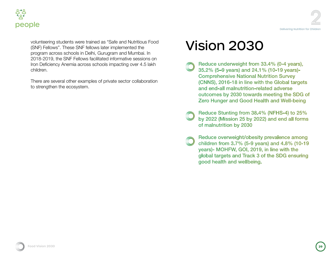

volunteering students were trained as "Safe and Nutritious Food (SNF) Fellows". These SNF fellows later implemented the program across schools in Delhi, Gurugram and Mumbai. In 2018-2019, the SNF Fellows facilitated informative sessions on Iron Deficiency Anemia across schools impacting over 4.5 lakh children.

There are several other examples of private sector collaboration to strengthen the ecosystem.

# Vision 2030

- Reduce underweight from 33.4% (0-4 years), 35.2% (5-9 years) and 24.1% (10-19 years)-**Comprehensive National Nutrition Survey** (CNNS), 2016-18 in line with the Global targets and end-all malnutrition-related adverse outcomes by 2030 towards meeting the SDG of Zero Hunger and Good Health and Well-being
- Reduce Stunting from 38.4% (NFHS-4) to 25% by 2022 (Mission 25 by 2022) and end all forms of malnutrition by 2030
- Reduce overweight/obesity prevalence among children from 3.7% (5-9 years) and 4.8% (10-19 years)- MOHFW, GOI, 2019, in line with the global targets and Track 3 of the SDG ensuring good health and wellbeing.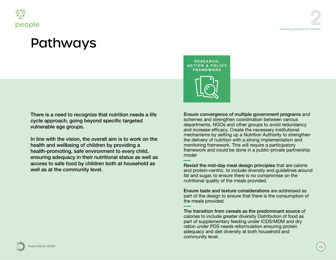

There is a need to recognize that nutrition needs a life cycle approach, going beyond specific targeted vulnerable age groups.

In line with the vision, the overall aim is to work on the health and wellbeing of children by providing a health-promoting, safe environment to every child, ensuring adequacy in their nutritional status as well as access to safe food by children both at household as well as at the community level.

**RESEARCH, ACTION & POLICY FRAMEWORK**



Ensure convergence of multiple government programs and schemes and strengthen coordination between various departments, NGOs and other groups to avoid redundancy and increase efficacy. Create the necessary institutional mechanisms by setting up a Nutrition Authority to strengthen the delivery of nutrition with a strong implementation and monitoring framework. This will require a participatory framework and could be done in a public-private partnership model

Revisit the mid-day meal design principles that are calorie and protein-centric, to include diversity and guidelines around fat and sugar, to ensure there is no compromise on the nutritional quality of the meals provided.

Ensure taste and texture considerations are addressed as part of the design to ensure that there is the consumption of the meals provided

The transition from cereals as the predominant source of calories to include greater diversity Distribution of food as part of supplementary feeding under ICDS/MDM and dry ration under PDS needs reformulation ensuring protein adequacy and diet diversity at both household and community level.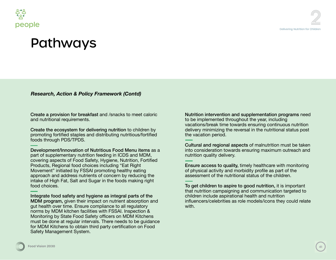

### Pathways

*Research, Action & Policy Framework (Contd)*

Create a provision for breakfast and /snacks to meet caloric and nutritional requirements.

Create the ecosystem for delivering nutrition to children by promoting fortified staples and distributing nutritious/fortified foods through PDS/TPDS.

Development/Innovation of Nutritious Food Menu items as a part of supplementary nutrition feeding in ICDS and MDM, covering aspects of Food Safety, Hygiene, Nutrition, Fortified Products, Regional food choices including "Eat Right Movement" initiated by FSSAI promoting healthy eating approach and address nutrients of concern by reducing the intake of High Fat, Salt and Sugar in the foods making right food choices.

Integrate food safety and hygiene as integral parts of the MDM program, given their impact on nutrient absorption and gut health over time. Ensure compliance to all regulatory norms by MDM kitchen facilities with FSSAI. Inspection & Monitoring by State Food Safety officers on MDM Kitchens must be done at regular intervals. There needs to be guidance for MDM Kitchens to obtain third party certification on Food Safety Management System.

Nutrition intervention and supplementation programs need to be implemented throughout the year, including vacations/break time towards ensuring continuous nutrition delivery minimizing the reversal in the nutritional status post the vacation period.

Cultural and regional aspects of malnutrition must be taken into consideration towards ensuring maximum outreach and nutrition quality delivery.

Ensure access to quality, timely healthcare with monitoring of physical activity and morbidity profile as part of the assessment of the nutritional status of the children.

To get children to aspire to good nutrition, it is important that nutrition campaigning and communication targeted to children include aspirational health and nutrition influencers/celebrities as role models/icons they could relate with.

**Food Vision 2030 Food Vision 2030 416**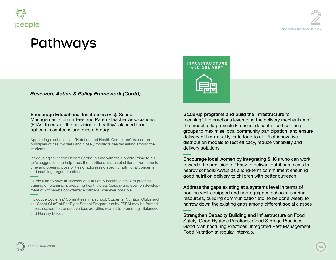

## Pathways

### *Research, Action & Policy Framework (Contd)*

Encourage Educational Institutions (EIs), School Management Committees and Parent-Teacher Associations (PTAs) to ensure the provision of healthy/balanced food options in canteens and mess through:

Appointing a school level "Nutrition and Health Committee" trained on principles of healthy diets and closely monitors healthy eating among the students.

Introducing "Nutrition Report Cards" in tune with the Hon'ble Prime Minister's suggestions to help track the nutritional status of children from time to time and opening possibilities of addressing specific nutritional concerns and enabling targeted actions.

Curriculum to have all aspects of nutrition & healthy diets with practical training on planning & preparing healthy diets (basics) and even on development of kitchen/balcony/terrace gardens wherever possible.

Introduce Societies/ Committees in a school, Students' Nutrition Clubs such as "Sehat Club" of Eat Right School Program run by FSSAI may be formed in each school to conduct various activities related to promoting "Balanced and Healthy Diets".

**INFRASTRUCTURE AND DELIVERY**



#### Scale-up programs and build the infrastructure for

meaningful interactions leveraging the delivery mechanism of the model of large-scale kitchens, decentralised self-help groups to maximise local community participation, and ensure delivery of high-quality, safe food to all. Pilot innovative distribution models to test efficacy, reduce variability and delivery solutions.

Encourage local women by integrating SHGs who can work towards the provision of "Easy to deliver" nutritious meals to nearby schools/AWCs as a long-term commitment ensuring good nutrition delivery to children with better outreach.

Address the gaps existing at a systems level in terms of pooling well-equipped and non-equipped schools- sharing resources, building communication etc. to be done wisely to narrow down the existing gaps among different social classes

Strengthen Capacity Building and Infrastructure on Food Safety, Good Hygiene Practices, Good Storage Practices, Good Manufacturing Practices, Integrated Pest Management, Food Nutrition at regular intervals.